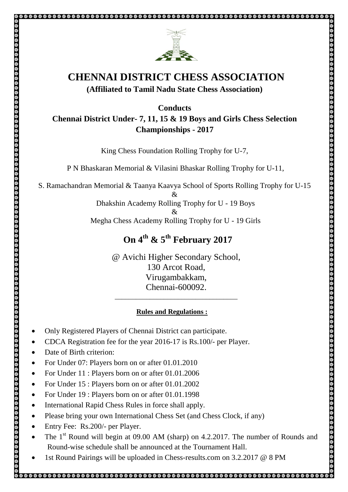

# **CHENNAI DISTRICT CHESS ASSOCIATION**

### **(Affiliated to Tamil Nadu State Chess Association)**

### **Conducts Chennai District Under- 7, 11, 15 & 19 Boys and Girls Chess Selection Championships - 2017**

King Chess Foundation Rolling Trophy for U-7,

P N Bhaskaran Memorial & Vilasini Bhaskar Rolling Trophy for U-11,

S. Ramachandran Memorial & Taanya Kaavya School of Sports Rolling Trophy for U-15

&

Dhakshin Academy Rolling Trophy for U - 19 Boys &

Megha Chess Academy Rolling Trophy for U - 19 Girls

## **On 4 th & 5th February 2017**

@ Avichi Higher Secondary School, 130 Arcot Road, Virugambakkam, Chennai-600092.

\_\_\_\_\_\_\_\_\_\_\_\_\_\_\_\_\_\_\_\_\_\_\_\_\_\_\_\_\_\_\_\_\_\_\_

#### **Rules and Regulations :**

- Only Registered Players of Chennai District can participate.
- CDCA Registration fee for the year 2016-17 is Rs.100/- per Player.
- Date of Birth criterion:

- For Under 07: Players born on or after 01.01.2010
- For Under 11 : Players born on or after 01.01.2006
- For Under 15 : Players born on or after 01.01.2002
- For Under 19 : Players born on or after 01.01.1998
- International Rapid Chess Rules in force shall apply.
- Please bring your own International Chess Set (and Chess Clock, if any)
- Entry Fee: Rs.200/- per Player.
- The 1<sup>st</sup> Round will begin at 09.00 AM (sharp) on 4.2.2017. The number of Rounds and Round-wise schedule shall be announced at the Tournament Hall.
- 1st Round Pairings will be uploaded in Chess-results.com on 3.2.2017 @ 8 PM